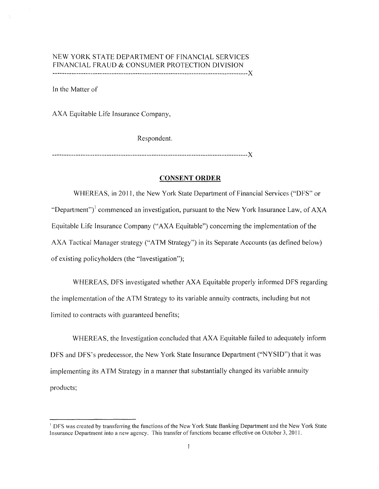# NEW YORK STATE DEPARTMENT OF FINANCIAL SERVICES FINANCIAL FRAUD & CONSUMER PROTECTION DIVISION

-----------------------------------------------------------------------------------)(

In the Matter of

AXA Equitable Life Insurance Company,

Respondent.

-----------------------------------------------------------------------------------)(

# **CONSENT ORDER**

WHEREAS, in 2011, the New York State Department of Financial Services ("DFS" or "Department")<sup>1</sup> commenced an investigation, pursuant to the New York Insurance Law, of  $AXA$ Equitable Life Insurance Company ("AXA Equitable") concerning the implementation of the AXA Tactical Manager strategy ("A TM Strategy") in its Separate Accounts (as defined below) of existing policyholders (the "Investigation");

WHEREAS, DFS investigated whether AXA Equitable properly informed DFS regarding the implementation of the ATM Strategy to its variable annuity contracts, including but not limited to contracts with guaranteed benefits;

WHEREAS, the Investigation concluded that AXA Equitable failed to adequately inform DFS and DFS's predecessor, the New York State Insurance Department ("NYSID") that it was implementing its ATM Strategy in a manner that substantially changed its variable annuity products;

<sup>&</sup>lt;sup>1</sup> DFS was created by transferring the functions of the New York State Banking Department and the New York State Insurance Department into a new agency. This transfer of functions became effective on October 3, 20 II.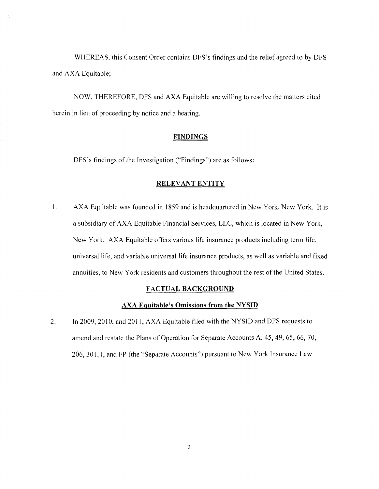WHEREAS, this Consent Order contains DFS's findings and the relief agreed to by DFS and AXA Equitable;

NOW, THEREFORE, DFS and AXA Equitable are willing to resolve the matters cited herein in lieu of proceeding by notice and a hearing.

#### **FINDINGS**

DFS's findings of the Investigation ("Findings") are as follows:

#### **RELEVANT ENTITY**

1. AXA Equitable was founded in 1859 and is headquartered in New York, New York. It is a subsidiary of AXA Equitable Financial Services, LLC, which is located in New York, New York. AXA Equitable offers various life insurance products including term life, universal life, and variable universal life insurance products, as well as variable and fixed annuities, to New York residents and customers throughout the rest of the United States.

#### **FACTUAL BACKGROUND**

#### **AXA Equitable's Omissions from the NYSID**

2. In 2009, 2010, and 2011, AXA Equitable filed with the NYSID and DFS requests to amend and restate the Plans of Operation for Separate Accounts A, 45, 49, 65, 66, 70, 206, 301, I, and FP (the "Separate Accounts") pursuant to New York Insurance Law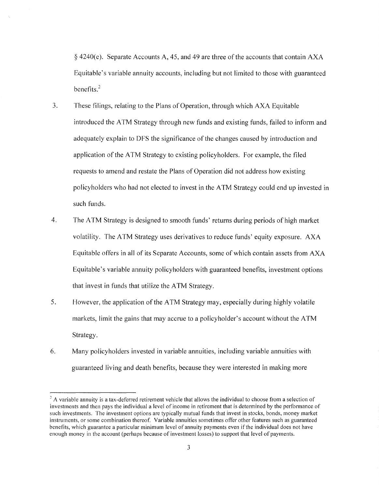§ 4240(e). Separate Accounts A, 45, and 49 are three of the accounts that contain AXA Equitable's variable annuity accounts, including but not limited to those with guaranteed benefits. $^{2}$ 

- 3. These filings, relating to the Plans of Operation, through which AXA Equitable introduced the A TM Strategy through new funds and existing funds, failed to inform and adequately explain to DFS the significance of the changes caused by introduction and application of the ATM Strategy to existing policyholders. For example, the filed requests to amend and restate the Plans of Operation did not address how existing policyholders who had not elected to invest in the A TM Strategy could end up invested in such funds.
- 4. The A TM Strategy is designed to smooth funds' returns during periods of high market volatility. The ATM Strategy uses derivatives to reduce funds' equity exposure. AXA Equitable offers in all of its Separate Accounts, some of which contain assets from AXA Equitable's variable annuity policyholders with guaranteed benefits, investment options that invest in funds that utilize the A TM Strategy.
- 5. However, the application of the ATM Strategy may, especially during highly volatile markets, limit the gains that may accrue to a policyholder's account without the ATM Strategy.
- 6. Many policyholders invested in variable annuities, including variable annuities with guaranteed living and death benefits, because they were interested in making more

<sup>&</sup>lt;sup>2</sup> A variable annuity is a tax-deferred retirement vehicle that allows the individual to choose from a selection of investments and then pays the individual a level of income in retirement that is determined by the performance of such investments. The investment options are typically mutual funds that invest in stocks, bonds, money market instruments, or some combination thereof. Variable annuities sometimes offer other features such as guaranteed benefits, which guarantee a particular minimum level of annuity payments even if the individual does not have enough money in the account (perhaps because of investment losses) to support that level of payments.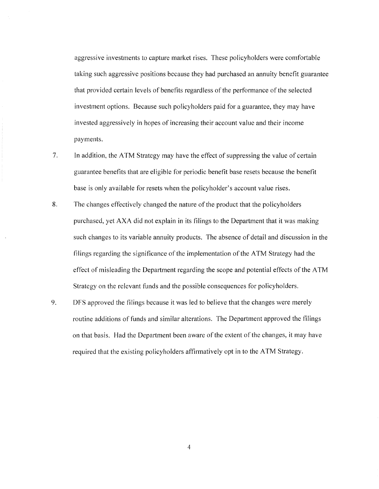aggressive investments to capture market rises. These policyholders were comfortable taking such aggressive positions because they had purchased an annuity benefit guarantee that provided certain levels of benefits regardless of the performance of the selected investment options. Because such policyholders paid for a guarantee, they may have invested aggressively in hopes of increasing their account value and their income payments.

- 7. In addition, the ATM Strategy may have the effect of suppressing the value of certain guarantee benefits that are eligible for periodic benefit base resets because the benefit base is only available for resets when the policyholder's account value rises.
- 8. The changes effectively changed the nature of the product that the policyholders purchased, yet AXA did not explain in its filings to the Department that it was making such changes to its variable annuity products. The absence of detail and discussion in the filings regarding the significance of the implementation of the ATM Strategy had the effect of misleading the Department regarding the scope and potential effects of the ATM Strategy on the relevant funds and the possible consequences for policyholders.
- 9. DFS approved the filings because it was led to believe that the changes were merely routine additions of funds and similar alterations. The Department approved the filings on that basis. Had the Department been aware ofthe extent of the changes, it may have required that the existing policyholders affirmatively opt in to the ATM Strategy.

4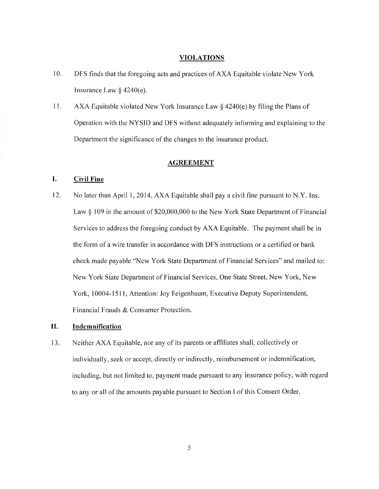## **VIOLATIONS**

- 10. DFS finds that the foregoing acts and practices of AXA Equitable violate New York Insurance Law  $§$  4240(e).
- 11. AXA Equitable violated New York Insurance Law  $\S$  4240(e) by filing the Plans of Operation with the NYSID and DFS without adequately informing and explaining to the Department the significance of the changes to the insurance product.

#### **AGREEMENT**

# **I. Civil Fine**

12. No later than April I, 2014, AXA Equitable shall pay a civil fine pursuant to N.Y. Ins. Law § 109 in the amount of \$20,000,000 to the New York State Department of Financial Services to address the foregoing conduct by AXA Equitable. The payment shall be in the form of a wire transfer in accordance with DFS instructions or a certified or bank check made payable "New York State Department of Financial Services" and mailed to: New York State Department of Financial Services, One State Street, New York, New York, 10004-1511, Attention: Joy Feigenbaum, Executive Deputy Superintendent, Financial Frauds & Consumer Protection.

# **II. Indemnification**

13. Neither AXA Equitable, nor any of its parents or affiliates shall, collectively or individually, seek or accept, directly or indirectly, reimbursement or indemnification, including, but not limited to, payment made pursuant to any insurance policy, with regard to any or all of the amounts payable pursuant to Section I of this Consent Order.

5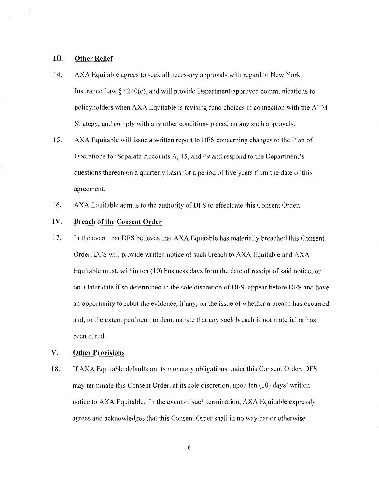## **III. Other Relief**

- 14. AXA Equitable agrees to seek all necessary approvals with regard to New York Insurance Law  $\S 4240(e)$ , and will provide Department-approved communications to policyholders when AXA Equitable is revising fund choices in connection with the ATM Strategy, and comply with any other conditions placed on any such approvals.
- 15. AXA Equitable will issue a written report to DFS concerning changes to the Plan of Operations for Separate Accounts A, 45, and 49 and respond to the Department's questions thereon on a quarterly basis for a period of five years from the date of this agreement.
- 16. AXA Equitable admits to the authority of DFS to effectuate this Consent Order.

# IV. **Breach of the Consent Order**

17. In the event that DFS believes that AXA Equitable has materially breached this Consent Order, DFS will provide written notice of such breach to AXA Equitable and AXA Equitable must, within ten  $(10)$  business days from the date of receipt of said notice, or on a later date if so determined in the sole discretion of DFS, appear before DFS and have an opportunity to rebut the evidence, if any, on the issue of whether a breach has occurred and, to the extent pertinent, to demonstrate that any such breach is not material or has been cured.

# **V. Other Provisions**

18. If AXA Equitable defaults on its monetary obligations under this Consent Order, DFS may terminate this Consent Order, at its sole discretion, upon ten  $(10)$  days' written notice to AXA Equitable. In the event of such termination, AXA Equitable expressly agrees and acknowledges that this Consent Order shall in no way bar or otherwise

6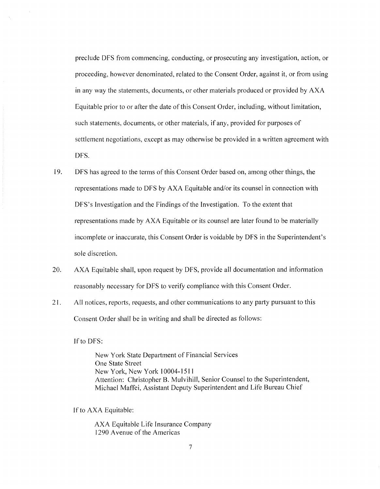preclude DFS from commencing, conducting, or prosecuting any investigation, action, or proceeding, however denominated, related to the Consent Order, against it, or from using in any way the statements, documents, or other materials produced or provided by AXA Equitable prior to or after the date of this Consent Order, including, without limitation, such statements, documents, or other materials, if any, provided for purposes of settlement negotiations, except as may otherwise be provided in a written agreement with DFS.

- 19. DFS has agreed to the terms of this Consent Order based on, among other things, the representations made to DFS by AXA Equitable and/or its counsel in connection with DFS's Investigation and the Findings of the Investigation. To the extent that representations made by AXA Equitable or its counsel are later found to be materially incomplete or inaccurate, this Consent Order is voidable by DFS in the Superintendent's sole discretion.
- 20. AXA Equitable shall, upon request by DFS, provide all documentation and information reasonably necessary for DFS to verify compliance with this Consent Order.
- 21. All notices, reports, requests, and other communications to any party pursuant to this Consent Order shall be in writing and shall be directed as follows:

Ifto DFS:

New York State Department of Financial Services One State Street New York, New York 10004-15 I 1 Attention: Christopher B. Mulvihill, Senior Counsel to the Superintendent, Michael Maffei, Assistant Deputy Superintendent and Life Bureau Chief

If to AXA Equitable:

AXA Equitable Life Insurance Company 1290 Avenue of the Americas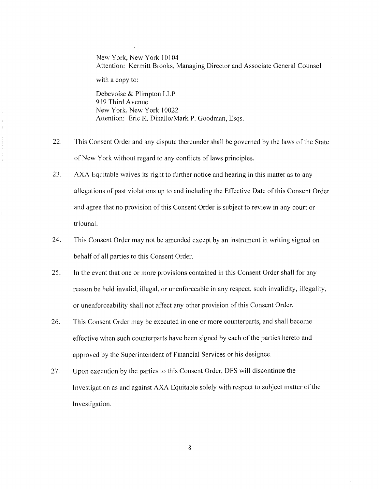New York, New York 10104 Attention: Kermitt Brooks, Managing Director and Associate General Counsel

with a copy to:

Debevoise & Plimpton LLP 919 Third Avenue New York, New York 10022 Attention: Eric R. Dinallo/Mark P. Goodman, Esqs.

- 22. This Consent Order and any dispute thereunder shall be governed by the laws of the State of New York without regard to any conflicts of laws principles.
- 23. AXA Equitable waives its right to further notice and hearing in this matter as to any allegations of past violations up to and including the Effective Date of this Consent Order and agree that no provision of this Consent Order is subject to review in any court or tribunal.
- 24. This Consent Order may not be amended except by an instrument in writing signed on behalf of all parties to this Consent Order.
- 25. In the event that one or more provisions contained in this Consent Order shall for any reason be held invalid, illegal, or unenforceable in any respect, such invalidity, illegality, or unenforceability shall not affect any other provision of this Consent Order.
- 26. This Consent Order may be executed in one or more counterparts, and shall become effective when such counterparts have been signed by each of the parties hereto and approved by the Superintendent of Financial Services or his designee.
- 27. Upon execution by the parties to this Consent Order, DFS will discontinue the Investigation as and against AXA Equitable solely with respect to subject matter of the Investigation.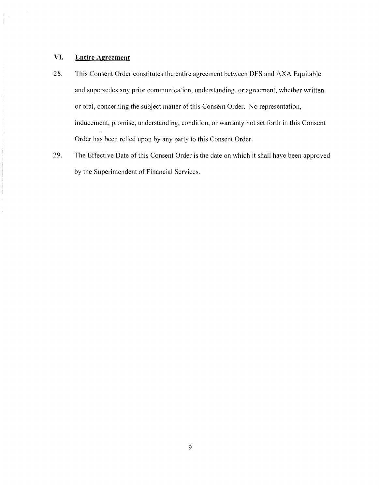# **VI. Entire Agreement**

- 28. This Consent Order constitutes the entire agreement between DFS and AXA Equitable and supersedes any prior communication, understanding, or agreement, whether written or oral, concerning the subject matter of this Consent Order. No representation, inducement, promise, understanding, condition, or warranty not set forth in this Consent Order has been relied upon by any party to this Consent Order.
- 29. The Effective Date of this Consent Order is the date on which it shall have been approved by the Superintendent of Financial Services.